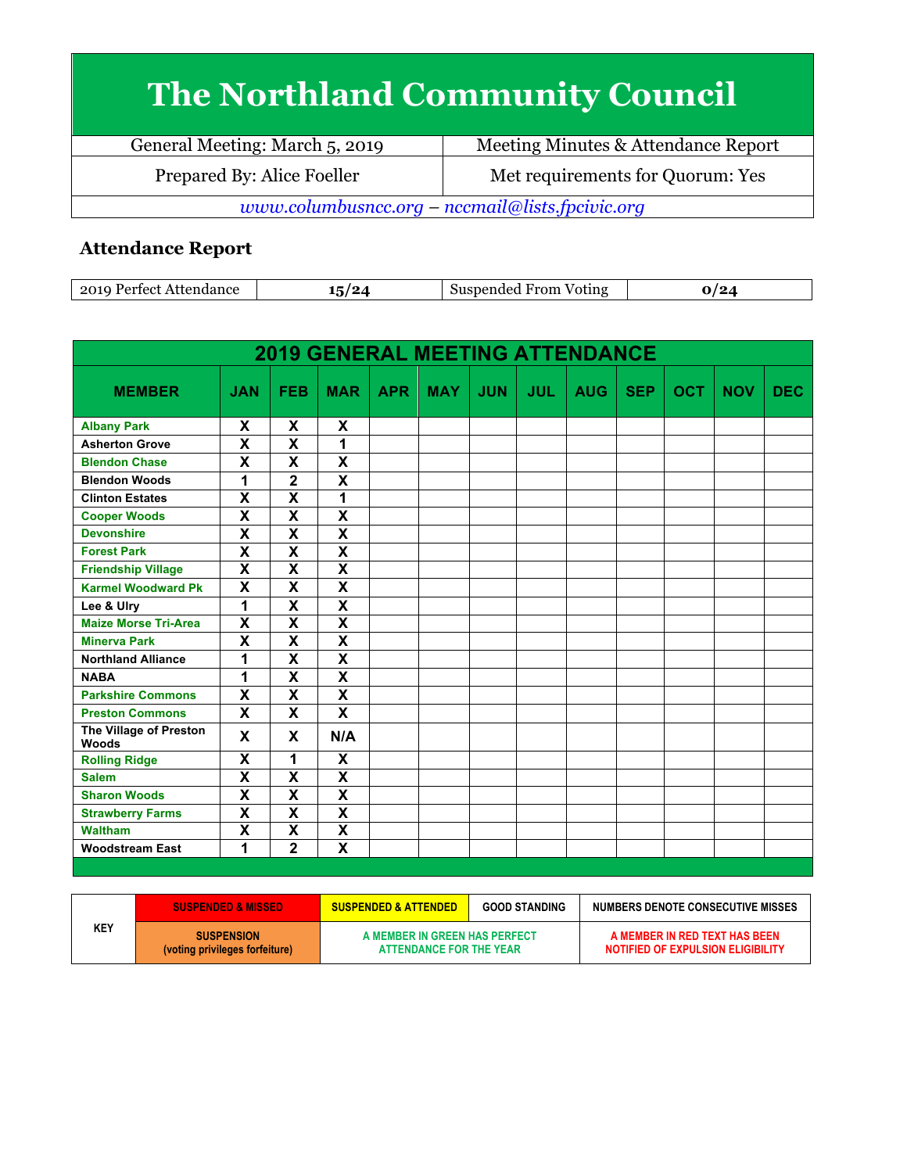## **The Northland Community Council**

| General Meeting: March 5, 2019                  | Meeting Minutes & Attendance Report |  |  |  |  |
|-------------------------------------------------|-------------------------------------|--|--|--|--|
| Prepared By: Alice Foeller                      | Met requirements for Quorum: Yes    |  |  |  |  |
| www.columbusncc.org – nccmail@lists.fpcivic.org |                                     |  |  |  |  |

## **Attendance Report**

| ററ<br>0.000<br>. | הו<br>$\bullet$ | √rom<br>'otıng<br>,,,,,<br>-1106 |  |
|------------------|-----------------|----------------------------------|--|
|------------------|-----------------|----------------------------------|--|

| <b>2019 GENERAL MEETING ATTENDANCE</b> |                           |                         |                         |            |            |            |            |            |            |            |            |            |
|----------------------------------------|---------------------------|-------------------------|-------------------------|------------|------------|------------|------------|------------|------------|------------|------------|------------|
| <b>MEMBER</b>                          | <b>JAN</b>                | <b>FEB</b>              | <b>MAR</b>              | <b>APR</b> | <b>MAY</b> | <b>JUN</b> | <b>JUL</b> | <b>AUG</b> | <b>SEP</b> | <b>OCT</b> | <b>NOV</b> | <b>DEC</b> |
| <b>Albany Park</b>                     | X                         | X                       | X                       |            |            |            |            |            |            |            |            |            |
| <b>Asherton Grove</b>                  | X                         | X                       | 1                       |            |            |            |            |            |            |            |            |            |
| <b>Blendon Chase</b>                   | X                         | X                       | X                       |            |            |            |            |            |            |            |            |            |
| <b>Blendon Woods</b>                   | 1                         | $\overline{\mathbf{2}}$ | X                       |            |            |            |            |            |            |            |            |            |
| <b>Clinton Estates</b>                 | $\overline{\mathbf{x}}$   | $\overline{\mathsf{x}}$ | 1                       |            |            |            |            |            |            |            |            |            |
| <b>Cooper Woods</b>                    | X                         | $\overline{\mathsf{x}}$ | $\overline{\mathsf{x}}$ |            |            |            |            |            |            |            |            |            |
| <b>Devonshire</b>                      | $\overline{\mathbf{x}}$   | $\overline{\mathsf{x}}$ | $\overline{\mathsf{x}}$ |            |            |            |            |            |            |            |            |            |
| <b>Forest Park</b>                     | X                         | $\overline{\mathsf{x}}$ | $\overline{\mathsf{x}}$ |            |            |            |            |            |            |            |            |            |
| <b>Friendship Village</b>              | $\overline{\mathbf{x}}$   | $\overline{\mathsf{x}}$ | $\overline{\mathsf{x}}$ |            |            |            |            |            |            |            |            |            |
| <b>Karmel Woodward Pk</b>              | $\overline{\mathsf{x}}$   | $\overline{\mathsf{x}}$ | $\overline{\mathsf{x}}$ |            |            |            |            |            |            |            |            |            |
| Lee & Ulry                             | 1                         | $\overline{\mathsf{x}}$ | $\overline{\mathsf{x}}$ |            |            |            |            |            |            |            |            |            |
| <b>Maize Morse Tri-Area</b>            | $\boldsymbol{\mathsf{x}}$ | $\overline{\mathsf{x}}$ | $\overline{\mathsf{x}}$ |            |            |            |            |            |            |            |            |            |
| <b>Minerva Park</b>                    | $\overline{\mathbf{x}}$   | $\overline{\mathsf{x}}$ | $\overline{\mathsf{x}}$ |            |            |            |            |            |            |            |            |            |
| <b>Northland Alliance</b>              | 1                         | $\overline{\mathsf{x}}$ | $\overline{\mathsf{x}}$ |            |            |            |            |            |            |            |            |            |
| <b>NABA</b>                            | 1                         | $\overline{\mathsf{x}}$ | $\overline{\mathsf{x}}$ |            |            |            |            |            |            |            |            |            |
| <b>Parkshire Commons</b>               | $\overline{\mathbf{x}}$   | $\overline{\mathsf{x}}$ | $\overline{\mathsf{x}}$ |            |            |            |            |            |            |            |            |            |
| <b>Preston Commons</b>                 | X                         | X                       | X                       |            |            |            |            |            |            |            |            |            |
| The Village of Preston<br><b>Woods</b> | X                         | X                       | N/A                     |            |            |            |            |            |            |            |            |            |
| <b>Rolling Ridge</b>                   | X                         | 1                       | X                       |            |            |            |            |            |            |            |            |            |
| <b>Salem</b>                           | $\overline{\mathbf{x}}$   | $\overline{\mathsf{x}}$ | $\overline{\mathsf{x}}$ |            |            |            |            |            |            |            |            |            |
| <b>Sharon Woods</b>                    | $\boldsymbol{\mathsf{X}}$ | $\overline{\mathsf{x}}$ | $\overline{\mathsf{x}}$ |            |            |            |            |            |            |            |            |            |
| <b>Strawberry Farms</b>                | $\overline{\mathbf{x}}$   | $\overline{\mathsf{x}}$ | $\overline{\mathsf{x}}$ |            |            |            |            |            |            |            |            |            |
| <b>Waltham</b>                         | $\boldsymbol{\mathsf{X}}$ | X                       | $\overline{\mathsf{x}}$ |            |            |            |            |            |            |            |            |            |
| <b>Woodstream East</b>                 | 1                         | $\overline{\mathbf{2}}$ | $\overline{\mathsf{x}}$ |            |            |            |            |            |            |            |            |            |

|     | <b>SUSPENDED &amp; MISSED</b>                       | <b>SUSPENDED &amp; ATTENDED</b>                          | <b>GOOD STANDING</b> | NUMBERS DENOTE CONSECUTIVE MISSES                                  |
|-----|-----------------------------------------------------|----------------------------------------------------------|----------------------|--------------------------------------------------------------------|
| KEY | <b>SUSPENSION</b><br>(voting privileges forfeiture) | A MEMBER IN GREEN HAS PERFECT<br>ATTENDANCE FOR THE YEAR |                      | A MEMBER IN RED TEXT HAS BEEN<br>NOTIFIED OF EXPULSION ELIGIBILITY |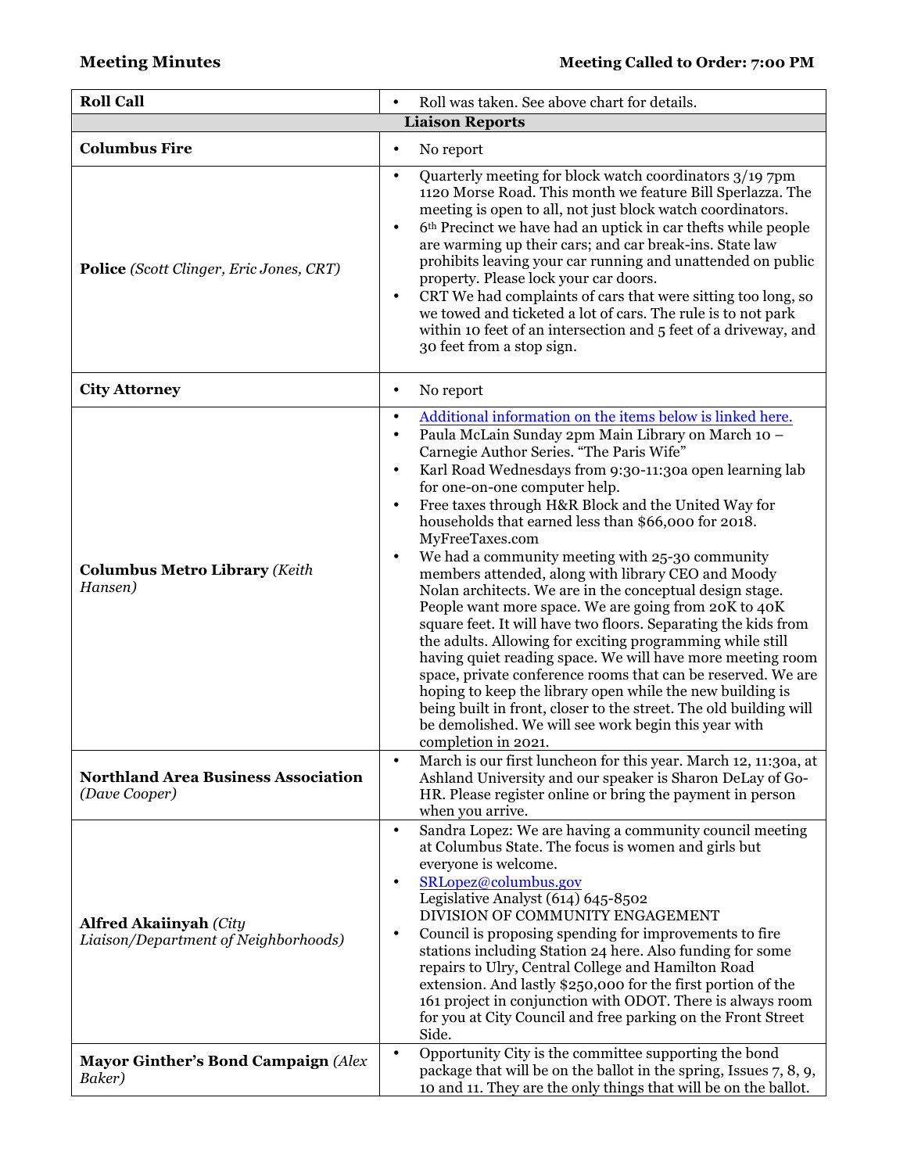| <b>Roll Call</b>                                                      | Roll was taken. See above chart for details.<br>$\bullet$                                                                                                                                                                                                                                                                                                                                                                                                                                                                                                                                                                                                                                                                                                                                                                                                                                                                                                                                                                                                                                                                                                            |  |  |  |  |  |
|-----------------------------------------------------------------------|----------------------------------------------------------------------------------------------------------------------------------------------------------------------------------------------------------------------------------------------------------------------------------------------------------------------------------------------------------------------------------------------------------------------------------------------------------------------------------------------------------------------------------------------------------------------------------------------------------------------------------------------------------------------------------------------------------------------------------------------------------------------------------------------------------------------------------------------------------------------------------------------------------------------------------------------------------------------------------------------------------------------------------------------------------------------------------------------------------------------------------------------------------------------|--|--|--|--|--|
| <b>Liaison Reports</b>                                                |                                                                                                                                                                                                                                                                                                                                                                                                                                                                                                                                                                                                                                                                                                                                                                                                                                                                                                                                                                                                                                                                                                                                                                      |  |  |  |  |  |
| <b>Columbus Fire</b>                                                  | No report<br>$\bullet$                                                                                                                                                                                                                                                                                                                                                                                                                                                                                                                                                                                                                                                                                                                                                                                                                                                                                                                                                                                                                                                                                                                                               |  |  |  |  |  |
| Police (Scott Clinger, Eric Jones, CRT)                               | Quarterly meeting for block watch coordinators 3/19 7pm<br>$\bullet$<br>1120 Morse Road. This month we feature Bill Sperlazza. The<br>meeting is open to all, not just block watch coordinators.<br>6 <sup>th</sup> Precinct we have had an uptick in car thefts while people<br>$\bullet$<br>are warming up their cars; and car break-ins. State law<br>prohibits leaving your car running and unattended on public<br>property. Please lock your car doors.<br>CRT We had complaints of cars that were sitting too long, so<br>$\bullet$<br>we towed and ticketed a lot of cars. The rule is to not park<br>within 10 feet of an intersection and 5 feet of a driveway, and<br>30 feet from a stop sign.                                                                                                                                                                                                                                                                                                                                                                                                                                                           |  |  |  |  |  |
| <b>City Attorney</b>                                                  | No report<br>$\bullet$                                                                                                                                                                                                                                                                                                                                                                                                                                                                                                                                                                                                                                                                                                                                                                                                                                                                                                                                                                                                                                                                                                                                               |  |  |  |  |  |
| <b>Columbus Metro Library (Keith</b><br>Hansen)                       | Additional information on the items below is linked here.<br>$\bullet$<br>Paula McLain Sunday 2pm Main Library on March 10 -<br>$\bullet$<br>Carnegie Author Series. "The Paris Wife"<br>Karl Road Wednesdays from 9:30-11:30a open learning lab<br>$\bullet$<br>for one-on-one computer help.<br>Free taxes through H&R Block and the United Way for<br>$\bullet$<br>households that earned less than \$66,000 for 2018.<br>MyFreeTaxes.com<br>We had a community meeting with 25-30 community<br>$\bullet$<br>members attended, along with library CEO and Moody<br>Nolan architects. We are in the conceptual design stage.<br>People want more space. We are going from 20K to 40K<br>square feet. It will have two floors. Separating the kids from<br>the adults. Allowing for exciting programming while still<br>having quiet reading space. We will have more meeting room<br>space, private conference rooms that can be reserved. We are<br>hoping to keep the library open while the new building is<br>being built in front, closer to the street. The old building will<br>be demolished. We will see work begin this year with<br>completion in 2021. |  |  |  |  |  |
| <b>Northland Area Business Association</b><br>(Dave Cooper)           | March is our first luncheon for this year. March 12, 11:30a, at<br>$\bullet$<br>Ashland University and our speaker is Sharon DeLay of Go-<br>HR. Please register online or bring the payment in person<br>when you arrive.                                                                                                                                                                                                                                                                                                                                                                                                                                                                                                                                                                                                                                                                                                                                                                                                                                                                                                                                           |  |  |  |  |  |
| <b>Alfred Akaiinyah (City</b><br>Liaison/Department of Neighborhoods) | Sandra Lopez: We are having a community council meeting<br>$\bullet$<br>at Columbus State. The focus is women and girls but<br>everyone is welcome.<br>SRLopez@columbus.gov<br>٠<br>Legislative Analyst (614) 645-8502<br>DIVISION OF COMMUNITY ENGAGEMENT<br>Council is proposing spending for improvements to fire<br>$\bullet$<br>stations including Station 24 here. Also funding for some<br>repairs to Ulry, Central College and Hamilton Road<br>extension. And lastly \$250,000 for the first portion of the<br>161 project in conjunction with ODOT. There is always room<br>for you at City Council and free parking on the Front Street<br>Side.                                                                                                                                                                                                                                                                                                                                                                                                                                                                                                          |  |  |  |  |  |
| <b>Mayor Ginther's Bond Campaign (Alex</b><br>Baker)                  | Opportunity City is the committee supporting the bond<br>$\bullet$<br>package that will be on the ballot in the spring, Issues 7, 8, 9,<br>10 and 11. They are the only things that will be on the ballot.                                                                                                                                                                                                                                                                                                                                                                                                                                                                                                                                                                                                                                                                                                                                                                                                                                                                                                                                                           |  |  |  |  |  |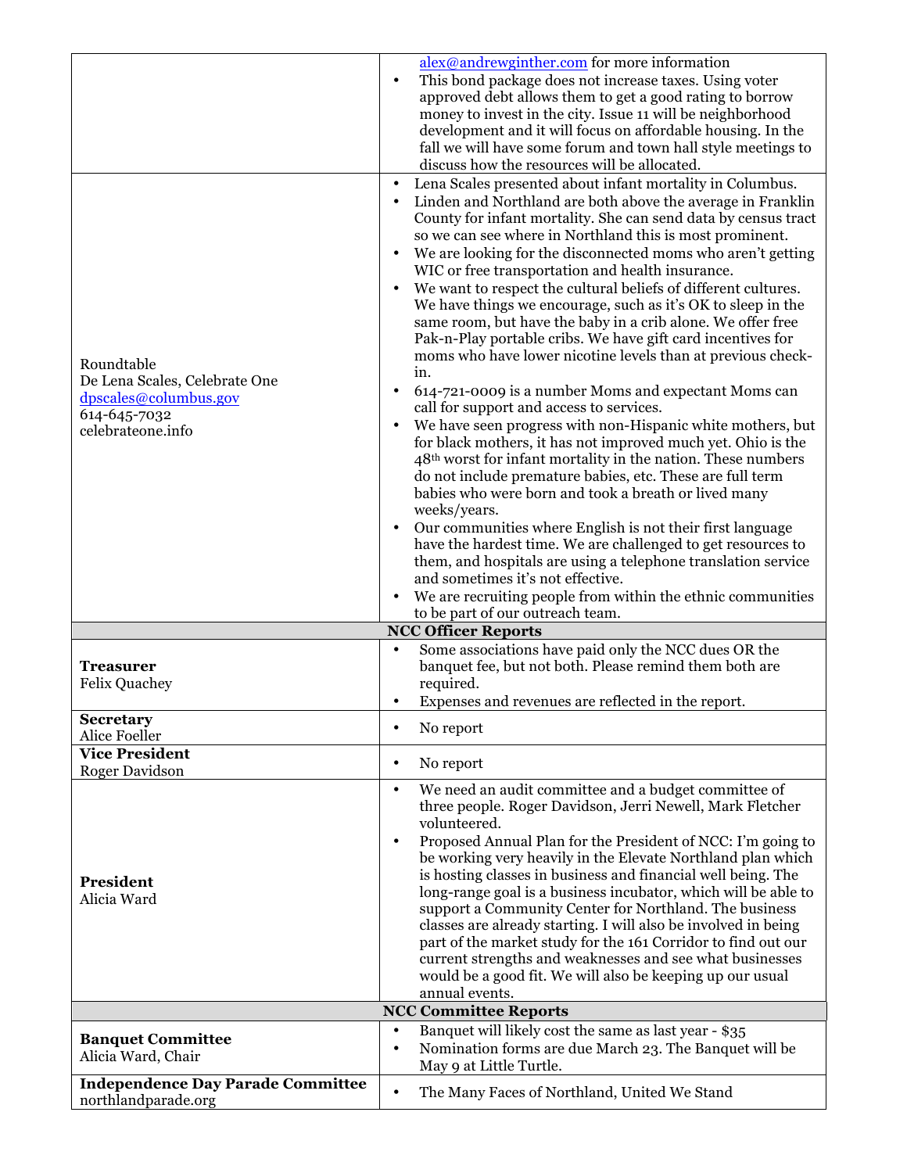|                                                                 | $alex@andrewginther.com$ for more information                                                                                   |
|-----------------------------------------------------------------|---------------------------------------------------------------------------------------------------------------------------------|
|                                                                 | This bond package does not increase taxes. Using voter<br>$\bullet$<br>approved debt allows them to get a good rating to borrow |
|                                                                 | money to invest in the city. Issue 11 will be neighborhood                                                                      |
|                                                                 | development and it will focus on affordable housing. In the                                                                     |
|                                                                 | fall we will have some forum and town hall style meetings to                                                                    |
|                                                                 | discuss how the resources will be allocated.                                                                                    |
|                                                                 | Lena Scales presented about infant mortality in Columbus.<br>$\bullet$                                                          |
|                                                                 | Linden and Northland are both above the average in Franklin                                                                     |
|                                                                 | County for infant mortality. She can send data by census tract                                                                  |
|                                                                 | so we can see where in Northland this is most prominent.                                                                        |
|                                                                 | We are looking for the disconnected moms who aren't getting<br>WIC or free transportation and health insurance.                 |
|                                                                 | We want to respect the cultural beliefs of different cultures.                                                                  |
|                                                                 | We have things we encourage, such as it's OK to sleep in the                                                                    |
|                                                                 | same room, but have the baby in a crib alone. We offer free                                                                     |
|                                                                 | Pak-n-Play portable cribs. We have gift card incentives for                                                                     |
| Roundtable                                                      | moms who have lower nicotine levels than at previous check-                                                                     |
| De Lena Scales, Celebrate One                                   | in.                                                                                                                             |
| dpscales@columbus.gov                                           | 614-721-0009 is a number Moms and expectant Moms can<br>call for support and access to services.                                |
| 614-645-7032<br>celebrateone.info                               | We have seen progress with non-Hispanic white mothers, but                                                                      |
|                                                                 | for black mothers, it has not improved much yet. Ohio is the                                                                    |
|                                                                 | 48 <sup>th</sup> worst for infant mortality in the nation. These numbers                                                        |
|                                                                 | do not include premature babies, etc. These are full term                                                                       |
|                                                                 | babies who were born and took a breath or lived many                                                                            |
|                                                                 | weeks/years.<br>Our communities where English is not their first language                                                       |
|                                                                 | have the hardest time. We are challenged to get resources to                                                                    |
|                                                                 | them, and hospitals are using a telephone translation service                                                                   |
|                                                                 | and sometimes it's not effective.                                                                                               |
|                                                                 | We are recruiting people from within the ethnic communities                                                                     |
|                                                                 | to be part of our outreach team.                                                                                                |
|                                                                 | <b>NCC Officer Reports</b><br>Some associations have paid only the NCC dues OR the                                              |
| <b>Treasurer</b>                                                | banquet fee, but not both. Please remind them both are                                                                          |
| <b>Felix Quachey</b>                                            | required.                                                                                                                       |
|                                                                 | Expenses and revenues are reflected in the report.                                                                              |
| Secretary                                                       | No report<br>٠                                                                                                                  |
| Alice Foeller                                                   |                                                                                                                                 |
| <b>Vice President</b><br><b>Roger Davidson</b>                  | No report<br>$\bullet$                                                                                                          |
|                                                                 | We need an audit committee and a budget committee of<br>$\bullet$                                                               |
|                                                                 | three people. Roger Davidson, Jerri Newell, Mark Fletcher                                                                       |
|                                                                 | volunteered.                                                                                                                    |
|                                                                 | Proposed Annual Plan for the President of NCC: I'm going to<br>$\bullet$                                                        |
|                                                                 | be working very heavily in the Elevate Northland plan which<br>is hosting classes in business and financial well being. The     |
| President                                                       | long-range goal is a business incubator, which will be able to                                                                  |
| Alicia Ward                                                     | support a Community Center for Northland. The business                                                                          |
|                                                                 | classes are already starting. I will also be involved in being                                                                  |
|                                                                 | part of the market study for the 161 Corridor to find out our                                                                   |
|                                                                 | current strengths and weaknesses and see what businesses                                                                        |
|                                                                 | would be a good fit. We will also be keeping up our usual<br>annual events.                                                     |
|                                                                 | <b>NCC Committee Reports</b>                                                                                                    |
|                                                                 | Banquet will likely cost the same as last year - \$35<br>$\bullet$                                                              |
| <b>Banquet Committee</b>                                        | Nomination forms are due March 23. The Banquet will be<br>٠                                                                     |
| Alicia Ward, Chair                                              |                                                                                                                                 |
|                                                                 | May 9 at Little Turtle.                                                                                                         |
| <b>Independence Day Parade Committee</b><br>northlandparade.org | The Many Faces of Northland, United We Stand<br>$\bullet$                                                                       |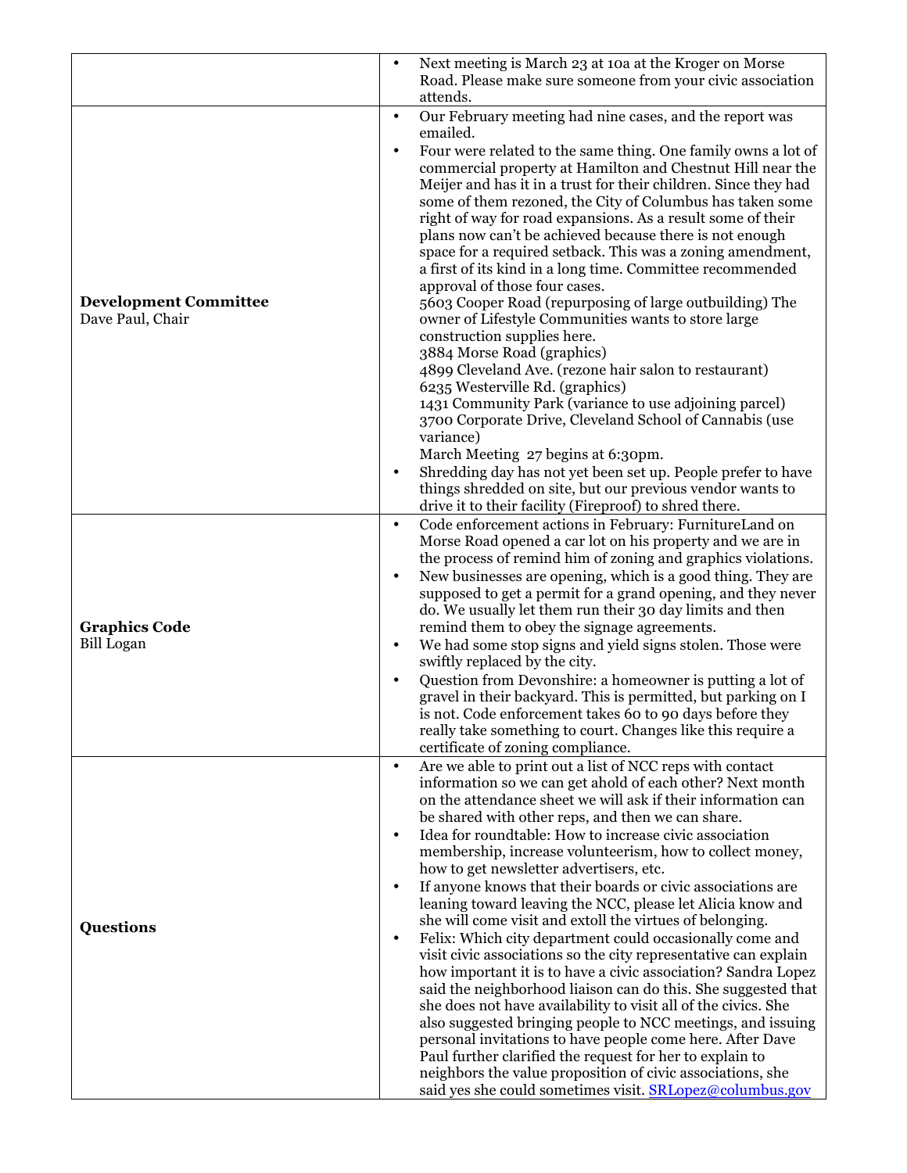|                                                  | $\bullet$ | Next meeting is March 23 at 10a at the Kroger on Morse<br>Road. Please make sure someone from your civic association                                                                                                                                                                                                                                                                                                                                                                                             |
|--------------------------------------------------|-----------|------------------------------------------------------------------------------------------------------------------------------------------------------------------------------------------------------------------------------------------------------------------------------------------------------------------------------------------------------------------------------------------------------------------------------------------------------------------------------------------------------------------|
|                                                  | $\bullet$ | attends.                                                                                                                                                                                                                                                                                                                                                                                                                                                                                                         |
|                                                  |           | Our February meeting had nine cases, and the report was<br>emailed.                                                                                                                                                                                                                                                                                                                                                                                                                                              |
|                                                  | $\bullet$ | Four were related to the same thing. One family owns a lot of<br>commercial property at Hamilton and Chestnut Hill near the<br>Meijer and has it in a trust for their children. Since they had<br>some of them rezoned, the City of Columbus has taken some<br>right of way for road expansions. As a result some of their<br>plans now can't be achieved because there is not enough<br>space for a required setback. This was a zoning amendment,<br>a first of its kind in a long time. Committee recommended |
| <b>Development Committee</b><br>Dave Paul, Chair |           | approval of those four cases.<br>5603 Cooper Road (repurposing of large outbuilding) The<br>owner of Lifestyle Communities wants to store large                                                                                                                                                                                                                                                                                                                                                                  |
|                                                  |           | construction supplies here.                                                                                                                                                                                                                                                                                                                                                                                                                                                                                      |
|                                                  |           | 3884 Morse Road (graphics)<br>4899 Cleveland Ave. (rezone hair salon to restaurant)                                                                                                                                                                                                                                                                                                                                                                                                                              |
|                                                  |           | 6235 Westerville Rd. (graphics)                                                                                                                                                                                                                                                                                                                                                                                                                                                                                  |
|                                                  |           | 1431 Community Park (variance to use adjoining parcel)                                                                                                                                                                                                                                                                                                                                                                                                                                                           |
|                                                  |           | 3700 Corporate Drive, Cleveland School of Cannabis (use<br>variance)                                                                                                                                                                                                                                                                                                                                                                                                                                             |
|                                                  |           | March Meeting 27 begins at 6:30pm.                                                                                                                                                                                                                                                                                                                                                                                                                                                                               |
|                                                  |           | Shredding day has not yet been set up. People prefer to have                                                                                                                                                                                                                                                                                                                                                                                                                                                     |
|                                                  |           | things shredded on site, but our previous vendor wants to                                                                                                                                                                                                                                                                                                                                                                                                                                                        |
|                                                  | $\bullet$ | drive it to their facility (Fireproof) to shred there.<br>Code enforcement actions in February: FurnitureLand on                                                                                                                                                                                                                                                                                                                                                                                                 |
|                                                  |           | Morse Road opened a car lot on his property and we are in                                                                                                                                                                                                                                                                                                                                                                                                                                                        |
|                                                  |           | the process of remind him of zoning and graphics violations.                                                                                                                                                                                                                                                                                                                                                                                                                                                     |
|                                                  | $\bullet$ | New businesses are opening, which is a good thing. They are<br>supposed to get a permit for a grand opening, and they never                                                                                                                                                                                                                                                                                                                                                                                      |
|                                                  |           | do. We usually let them run their 30 day limits and then                                                                                                                                                                                                                                                                                                                                                                                                                                                         |
| <b>Graphics Code</b>                             |           | remind them to obey the signage agreements.                                                                                                                                                                                                                                                                                                                                                                                                                                                                      |
| <b>Bill Logan</b>                                | $\bullet$ | We had some stop signs and yield signs stolen. Those were<br>swiftly replaced by the city.                                                                                                                                                                                                                                                                                                                                                                                                                       |
|                                                  | $\bullet$ | Question from Devonshire: a homeowner is putting a lot of                                                                                                                                                                                                                                                                                                                                                                                                                                                        |
|                                                  |           | gravel in their backyard. This is permitted, but parking on I                                                                                                                                                                                                                                                                                                                                                                                                                                                    |
|                                                  |           | is not. Code enforcement takes 60 to 90 days before they<br>really take something to court. Changes like this require a                                                                                                                                                                                                                                                                                                                                                                                          |
|                                                  |           | certificate of zoning compliance.                                                                                                                                                                                                                                                                                                                                                                                                                                                                                |
|                                                  | $\bullet$ | Are we able to print out a list of NCC reps with contact<br>information so we can get ahold of each other? Next month<br>on the attendance sheet we will ask if their information can<br>be shared with other reps, and then we can share.                                                                                                                                                                                                                                                                       |
|                                                  | $\bullet$ | Idea for roundtable: How to increase civic association                                                                                                                                                                                                                                                                                                                                                                                                                                                           |
|                                                  |           | membership, increase volunteerism, how to collect money,                                                                                                                                                                                                                                                                                                                                                                                                                                                         |
|                                                  | $\bullet$ | how to get newsletter advertisers, etc.<br>If anyone knows that their boards or civic associations are                                                                                                                                                                                                                                                                                                                                                                                                           |
|                                                  |           | leaning toward leaving the NCC, please let Alicia know and                                                                                                                                                                                                                                                                                                                                                                                                                                                       |
| <b>Questions</b>                                 |           | she will come visit and extoll the virtues of belonging.                                                                                                                                                                                                                                                                                                                                                                                                                                                         |
|                                                  | $\bullet$ | Felix: Which city department could occasionally come and                                                                                                                                                                                                                                                                                                                                                                                                                                                         |
|                                                  |           | visit civic associations so the city representative can explain<br>how important it is to have a civic association? Sandra Lopez                                                                                                                                                                                                                                                                                                                                                                                 |
|                                                  |           | said the neighborhood liaison can do this. She suggested that                                                                                                                                                                                                                                                                                                                                                                                                                                                    |
|                                                  |           | she does not have availability to visit all of the civics. She                                                                                                                                                                                                                                                                                                                                                                                                                                                   |
|                                                  |           | also suggested bringing people to NCC meetings, and issuing<br>personal invitations to have people come here. After Dave                                                                                                                                                                                                                                                                                                                                                                                         |
|                                                  |           | Paul further clarified the request for her to explain to                                                                                                                                                                                                                                                                                                                                                                                                                                                         |
|                                                  |           | neighbors the value proposition of civic associations, she                                                                                                                                                                                                                                                                                                                                                                                                                                                       |
|                                                  |           | said yes she could sometimes visit. SRLopez@columbus.gov                                                                                                                                                                                                                                                                                                                                                                                                                                                         |